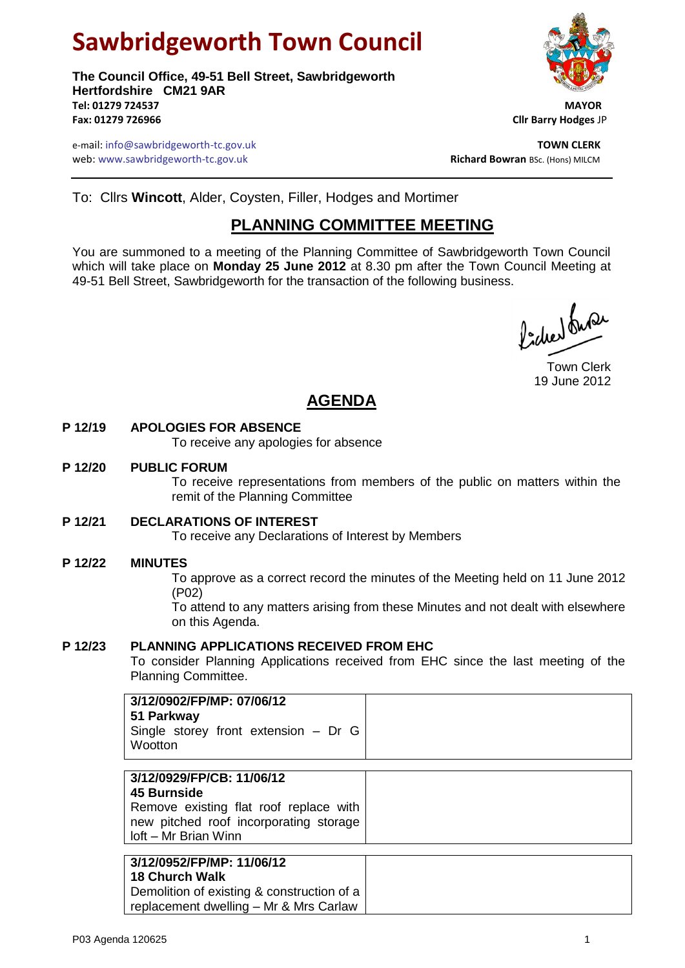# **Sawbridgeworth Town Council**

**The Council Office, 49-51 Bell Street, Sawbridgeworth Hertfordshire CM21 9AR Tel: 01279 724537 MAYOR Fax: 01279 726966 Cllr Barry Hodges** JP



e-mail: info@sawbridgeworth-tc.gov.uk **TOWN CLERK** web: www.sawbridgeworth-tc.gov.uk<br> **Richard Bowran** BSc. (Hons) MILCM

To: Cllrs **Wincott**, Alder, Coysten, Filler, Hodges and Mortimer

# **PLANNING COMMITTEE MEETING**

You are summoned to a meeting of the Planning Committee of Sawbridgeworth Town Council which will take place on **Monday 25 June 2012** at 8.30 pm after the Town Council Meeting at 49-51 Bell Street, Sawbridgeworth for the transaction of the following business.

ladier busi

Town Clerk 19 June 2012

# **AGENDA**

## **P 12/19 APOLOGIES FOR ABSENCE**

To receive any apologies for absence

### **P 12/20 PUBLIC FORUM**

To receive representations from members of the public on matters within the remit of the Planning Committee

# **P 12/21 DECLARATIONS OF INTEREST**

To receive any Declarations of Interest by Members

# **P 12/22 MINUTES**

To approve as a correct record the minutes of the Meeting held on 11 June 2012 (P02)

To attend to any matters arising from these Minutes and not dealt with elsewhere on this Agenda.

### **P 12/23 PLANNING APPLICATIONS RECEIVED FROM EHC**

To consider Planning Applications received from EHC since the last meeting of the Planning Committee.

|--|

| 3/12/0929/FP/CB: 11/06/12              |
|----------------------------------------|
| <b>45 Burnside</b>                     |
| Remove existing flat roof replace with |
| new pitched roof incorporating storage |
| loft – Mr Brian Winn                   |

# **3/12/0952/FP/MP: 11/06/12 18 Church Walk** Demolition of existing & construction of a

replacement dwelling – Mr & Mrs Carlaw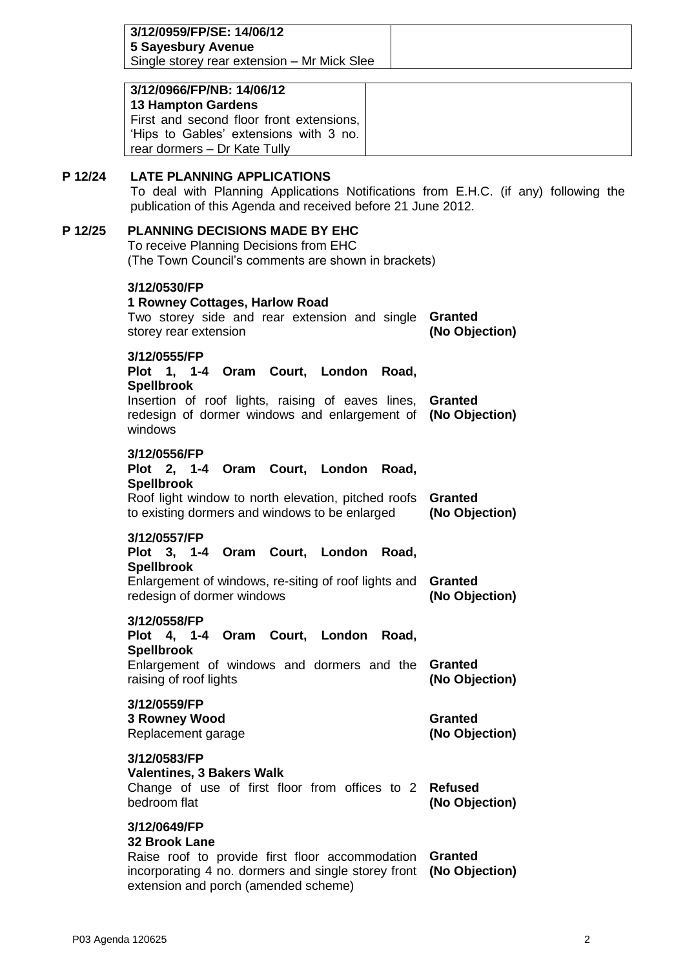| 3/12/0959/FP/SE: 14/06/12                   |  |
|---------------------------------------------|--|
| 5 Sayesbury Avenue                          |  |
| Single storey rear extension - Mr Mick Slee |  |
|                                             |  |
|                                             |  |

| 3/12/0966/FP/NB: 14/06/12<br><b>13 Hampton Gardens</b>                                                             |
|--------------------------------------------------------------------------------------------------------------------|
| First and second floor front extensions,<br>'Hips to Gables' extensions with 3 no.<br>rear dormers - Dr Kate Tully |

## **P 12/24 LATE PLANNING APPLICATIONS**

To deal with Planning Applications Notifications from E.H.C. (if any) following the publication of this Agenda and received before 21 June 2012.

### **P 12/25 PLANNING DECISIONS MADE BY EHC**

To receive Planning Decisions from EHC (The Town Council's comments are shown in brackets)

#### **3/12/0530/FP**

| 1 Rowney Cottages, Harlow Road                                                        |                |
|---------------------------------------------------------------------------------------|----------------|
| Two storey side and rear extension and single <b>Granted</b><br>storey rear extension | (No Objection) |

#### **3/12/0555/FP**

**Plot 1, 1-4 Oram Court, London Road, Spellbrook** Insertion of roof lights, raising of eaves lines, **Granted** redesign of dormer windows and enlargement of **(No Objection)**

windows

#### **3/12/0556/FP**

### **Plot 2, 1-4 Oram Court, London Road, Spellbrook**

| Roof light window to north elevation, pitched roofs <b>Granted</b> |                |
|--------------------------------------------------------------------|----------------|
| to existing dormers and windows to be enlarged                     | (No Objection) |

#### **3/12/0557/FP**

|                        |  |                            | Plot 3, 1-4 Oram Court, London Road,                         |                |
|------------------------|--|----------------------------|--------------------------------------------------------------|----------------|
| <b>Spellbrook</b>      |  |                            |                                                              |                |
|                        |  |                            | Enlargement of windows, re-siting of roof lights and Granted |                |
|                        |  | redesign of dormer windows |                                                              | (No Objection) |
| 3/12/0558/FP           |  |                            |                                                              |                |
|                        |  |                            |                                                              |                |
|                        |  |                            | Plot 4, 1-4 Oram Court, London Road,                         |                |
| <b>Spellbrook</b>      |  |                            |                                                              |                |
|                        |  |                            | Enlargement of windows and dormers and the Granted           |                |
| raising of roof lights |  |                            |                                                              | (No Objection) |

### **3/12/0559/FP**

| <b>3 Rowney Wood</b> | Granted        |  |  |  |
|----------------------|----------------|--|--|--|
| Replacement garage   | (No Objection) |  |  |  |
| 3/12/0583/FP         |                |  |  |  |

#### **Valentines, 3 Bakers Walk**

|              |  |  |  |  | Change of use of first floor from offices to 2 <b>Refused</b> |
|--------------|--|--|--|--|---------------------------------------------------------------|
| bedroom flat |  |  |  |  | (No Objection)                                                |

#### **3/12/0649/FP**

### **32 Brook Lane**

Raise roof to provide first floor accommodation **Granted** incorporating 4 no. dormers and single storey front **(No Objection)**extension and porch (amended scheme)